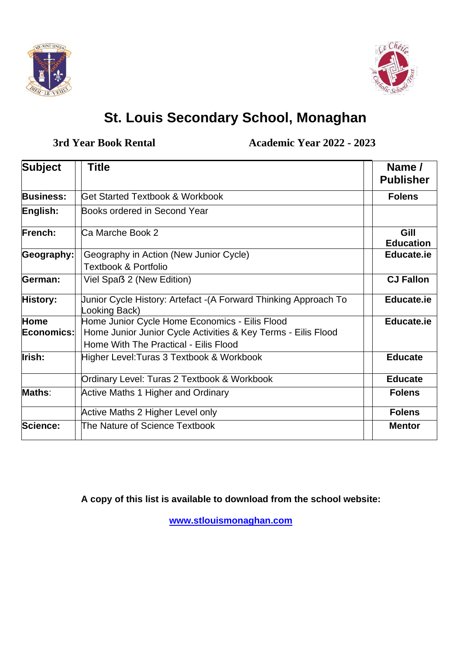



## **St. Louis Secondary School, Monaghan**

**3rd Year Book Rental Academic Year 2022 - 2023**

| <b>Subject</b>            | <b>Title</b>                                                                                                                                             | Name /<br><b>Publisher</b> |
|---------------------------|----------------------------------------------------------------------------------------------------------------------------------------------------------|----------------------------|
| <b>Business:</b>          | Get Started Textbook & Workbook                                                                                                                          | <b>Folens</b>              |
| English:                  | Books ordered in Second Year                                                                                                                             |                            |
| <b>French:</b>            | Ca Marche Book 2                                                                                                                                         | Gill<br><b>Education</b>   |
| Geography:                | Geography in Action (New Junior Cycle)<br><b>Textbook &amp; Portfolio</b>                                                                                | <b>Educate.ie</b>          |
| German:                   | Viel Spaß 2 (New Edition)                                                                                                                                | <b>CJ Fallon</b>           |
| History:                  | Junior Cycle History: Artefact - (A Forward Thinking Approach To<br>Looking Back)                                                                        | <b>Educate.ie</b>          |
| <b>Home</b><br>Economics: | Home Junior Cycle Home Economics - Eilis Flood<br>Home Junior Junior Cycle Activities & Key Terms - Eilis Flood<br>Home With The Practical - Eilis Flood | <b>Educate.ie</b>          |
| Irish:                    | Higher Level: Turas 3 Textbook & Workbook                                                                                                                | <b>Educate</b>             |
|                           | Ordinary Level: Turas 2 Textbook & Workbook                                                                                                              | <b>Educate</b>             |
| Maths:                    | <b>Active Maths 1 Higher and Ordinary</b>                                                                                                                | <b>Folens</b>              |
|                           | Active Maths 2 Higher Level only                                                                                                                         | <b>Folens</b>              |
| Science:                  | The Nature of Science Textbook                                                                                                                           | <b>Mentor</b>              |

**A copy of this list is available to download from the school website:**

**[www.stlouismonaghan.com](http://www.stlouismonaghan.com/)**